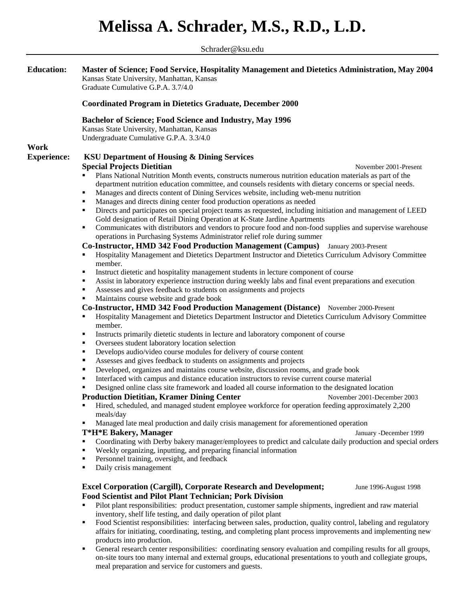## **Melissa A. Schrader, M.S., R.D., L.D.**

Schrader@ksu.edu **Education: Master of Science; Food Service, Hospitality Management and Dietetics Administration, May 2004** Kansas State University, Manhattan, Kansas Graduate Cumulative G.P.A. 3.7/4.0 **Coordinated Program in Dietetics Graduate, December 2000 Bachelor of Science; Food Science and Industry, May 1996**  Kansas State University, Manhattan, Kansas Undergraduate Cumulative G.P.A. 3.3/4.0 **Work Experience: KSU Department of Housing & Dining Services Special Projects Dietitian November 2001-Present November 2001-Present**  Plans National Nutrition Month events, constructs numerous nutrition education materials as part of the department nutrition education committee, and counsels residents with dietary concerns or special needs. Manages and directs content of Dining Services website, including web-menu nutrition Manages and directs dining center food production operations as needed Directs and participates on special project teams as requested, including initiation and management of LEED Gold designation of Retail Dining Operation at K-State Jardine Apartments **Communicates with distributors and vendors to procure food and non-food supplies and supervise warehouse** operations in Purchasing Systems Administrator relief role during summer **Co-Instructor, HMD 342 Food Production Management (Campus)** January 2003-Present Hospitality Management and Dietetics Department Instructor and Dietetics Curriculum Advisory Committee member. Instruct dietetic and hospitality management students in lecture component of course Assist in laboratory experience instruction during weekly labs and final event preparations and execution Assesses and gives feedback to students on assignments and projects **Maintains course website and grade book Co-Instructor, HMD 342 Food Production Management (Distance)** November 2000-Present Hospitality Management and Dietetics Department Instructor and Dietetics Curriculum Advisory Committee member. **Instructs primarily dietetic students in lecture and laboratory component of course**  Oversees student laboratory location selection ■ Develops audio/video course modules for delivery of course content Assesses and gives feedback to students on assignments and projects Developed, organizes and maintains course website, discussion rooms, and grade book Interfaced with campus and distance education instructors to revise current course material Designed online class site framework and loaded all course information to the designated location **Production Dietitian, Kramer Dining Center 1998** November 2001-December 2003 **Hired, scheduled, and managed student employee workforce for operation feeding approximately 2,200** meals/day Managed late meal production and daily crisis management for aforementioned operation **T\*H\*E Bakery, Manager January -December 1999** January -December 1999 Coordinating with Derby bakery manager/employees to predict and calculate daily production and special orders Weekly organizing, inputting, and preparing financial information Personnel training, oversight, and feedback Daily crisis management **Excel Corporation (Cargill), Corporate Research and Development;** June 1996-August 1998 **Food Scientist and Pilot Plant Technician; Pork Division**  Pilot plant responsibilities: product presentation, customer sample shipments, ingredient and raw material inventory, shelf life testing, and daily operation of pilot plant

- Food Scientist responsibilities: interfacing between sales, production, quality control, labeling and regulatory affairs for initiating, coordinating, testing, and completing plant process improvements and implementing new products into production.
- General research center responsibilities: coordinating sensory evaluation and compiling results for all groups, on-site tours too many internal and external groups, educational presentations to youth and collegiate groups, meal preparation and service for customers and guests.